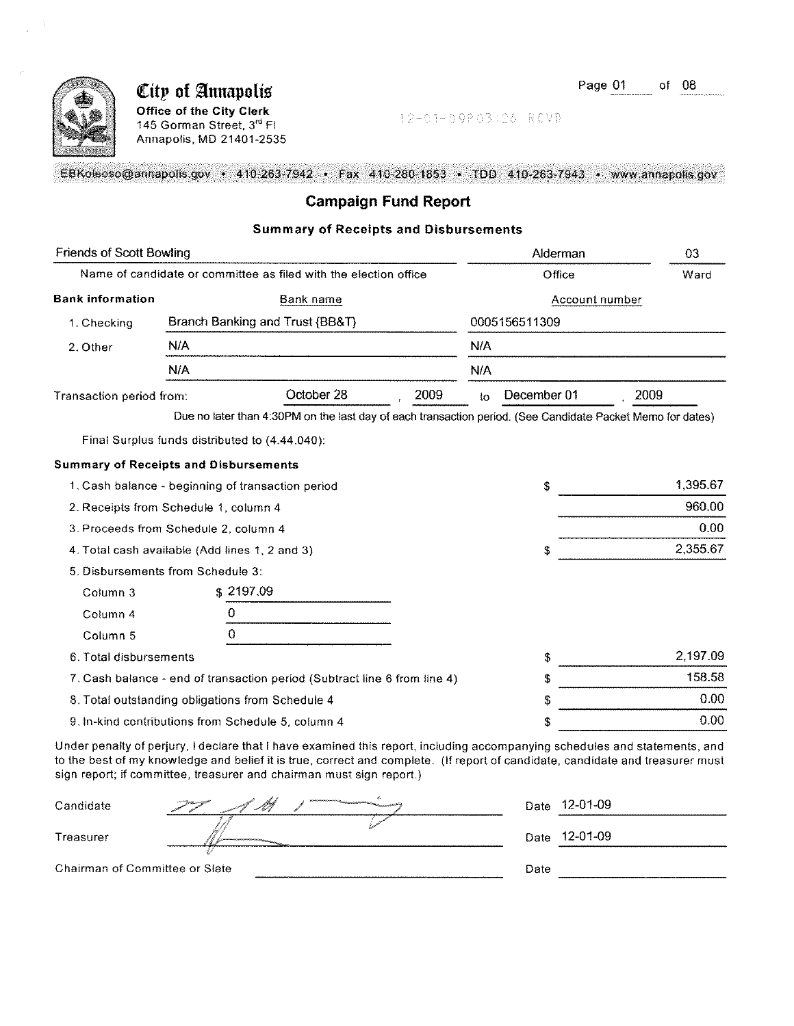

### City of Annapolis Office of the City Clerk

145 Gorman Street, 3rd FI Annapolis, MD 21401-2535 12-01-09P03:26 RCVD

EBKoleoso@annapolis.gov • 410-263-7942 • Fax 410-280-1853 • TDD 410-263-7943 • www.annapolis.gov

#### Campaign Fund Report

#### Summary of Receipts and Disbursements

| <b>Friends of Scott Bowling</b>                |     |                                                                                                            | Alderman |        |                |          |
|------------------------------------------------|-----|------------------------------------------------------------------------------------------------------------|----------|--------|----------------|----------|
|                                                |     | Name of candidate or committee as filed with the election office                                           |          | Office |                |          |
| <b>Bank information</b>                        |     | Bank name                                                                                                  |          |        | Account number |          |
| 1. Checking                                    |     | Branch Banking and Trust {BB&T}                                                                            |          |        | 0005156511309  |          |
| 2. Other                                       | N/A |                                                                                                            |          | N/A    |                |          |
|                                                | N/A |                                                                                                            |          | N/A    |                |          |
| Transaction period from:                       |     | October 28                                                                                                 | 2009     | to     | December 01    | 2009     |
|                                                |     | Due no later than 4:30PM on the last day of each transaction period. (See Candidate Packet Memo for dates) |          |        |                |          |
|                                                |     | Final Surplus funds distributed to (4.44.040):                                                             |          |        |                |          |
| <b>Summary of Receipts and Disbursements</b>   |     |                                                                                                            |          |        |                |          |
|                                                |     | 1. Cash balance - beginning of transaction period                                                          |          |        | \$             | 1,395.67 |
| 2. Receipts from Schedule 1, column 4          |     |                                                                                                            |          |        |                | 960.00   |
| 3. Proceeds from Schedule 2, column 4          |     |                                                                                                            |          |        |                | 0.00     |
| 4. Total cash available (Add lines 1, 2 and 3) |     |                                                                                                            |          |        | \$             | 2,355.67 |
| 5. Disbursements from Schedule 3:              |     |                                                                                                            |          |        |                |          |
| Column 3                                       |     | \$2197.09                                                                                                  |          |        |                |          |
| Column 4                                       | 0   |                                                                                                            |          |        |                |          |
| Column <sub>5</sub>                            | 0   |                                                                                                            |          |        |                |          |
| 6. Total disbursements                         |     |                                                                                                            |          |        | \$             | 2,197.09 |
|                                                |     | 7. Cash balance - end of transaction period (Subtract line 6 from line 4)                                  |          |        | £              | 158.58   |
|                                                |     | 8. Total outstanding obligations from Schedule 4                                                           |          |        | S              | 0.00     |
|                                                |     | 9. In-kind contributions from Schedule 5, column 4                                                         |          |        | \$             | 0.00     |
|                                                |     |                                                                                                            |          |        |                |          |

Under penalty of perjury, I declare that I have examined this report, including accompanying schedules and statements, and to the best of my knowledge and belief it is true, correct and complete. (If report of candidate, candidate and treasurer must sign report; if committee, treasurer and chairman must sign report.)

| Candidate                      | F M<br><b>Chairman Controller State Community</b> | Date | 12-01-09      |
|--------------------------------|---------------------------------------------------|------|---------------|
| Treasurer                      |                                                   |      | Date 12-01-09 |
| Chairman of Committee or Slate |                                                   | Date |               |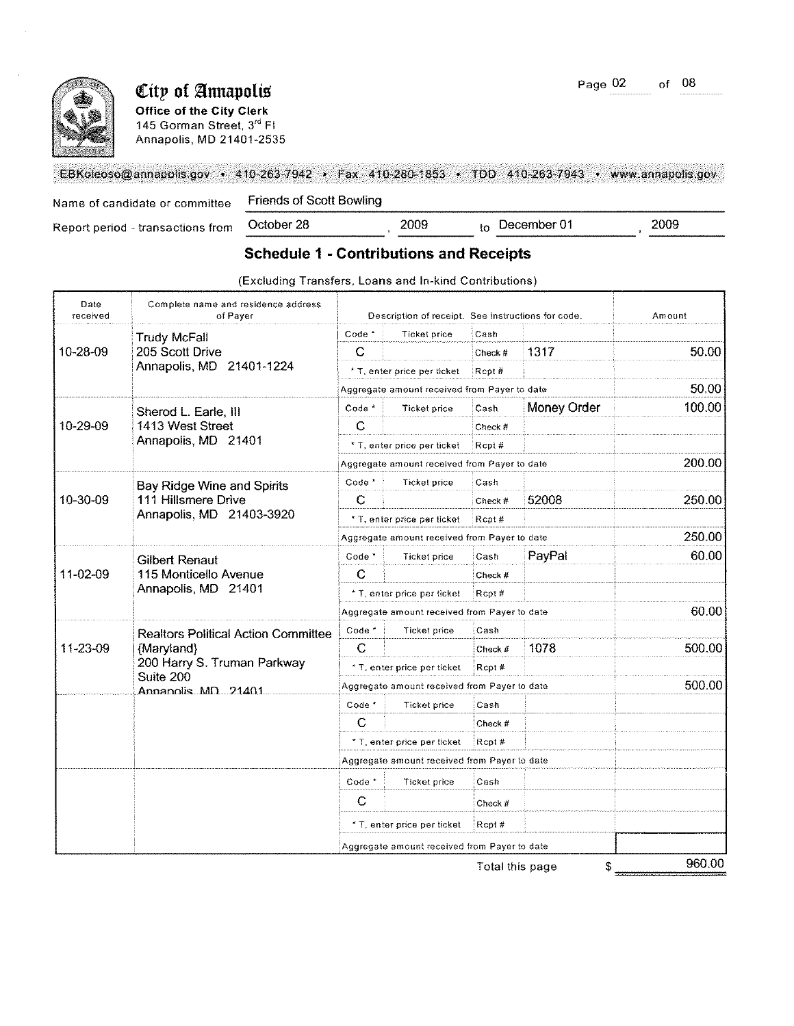

# **City of Annapolis** Page 02 of 08

Office of the City Clerk

145 Gorman Street, 3<sup>rd</sup> FI Annapolis, MD 21401-2535

|                                | EBKoleoso@annapolis.gov + 410-263-7942 + Fax 410-280-1853 + TDD 410-263-7943 + www.annapolis.gov |
|--------------------------------|--------------------------------------------------------------------------------------------------|
| Name of candidate or committee | Friends of Scott Bowling                                                                         |

| Name of candidate or committee    | <b>Friends of Scott Bowling</b>                |      |             |      |
|-----------------------------------|------------------------------------------------|------|-------------|------|
| Report period - transactions from | October 28                                     | 2009 | December 01 | 2009 |
|                                   | <b>Schedule 1 - Contributions and Receipts</b> |      |             |      |

| Date<br>received | Complete name and residence address<br>of Paver | Description of receipt. See instructions for code. |                                              |                 |             | Amount |
|------------------|-------------------------------------------------|----------------------------------------------------|----------------------------------------------|-----------------|-------------|--------|
|                  | <b>Trudy McFall</b>                             | Code <sup>*</sup>                                  | Ticket price                                 | Cash            |             |        |
| 10-28-09         | 205 Scott Drive                                 | C                                                  |                                              | Check #         | 1317        | 50.00  |
|                  | Annapolis, MD 21401-1224                        |                                                    | * T, enter price per ticket                  | Rcpt#           |             |        |
|                  |                                                 |                                                    | Aggregate amount received from Payer to date |                 |             | 50.00  |
|                  | Sherod L. Earle, III                            | Code <sup>*</sup>                                  | Ticket price                                 | Cash            | Money Order | 100.00 |
| 10-29-09         | 1413 West Street                                | C                                                  |                                              | Check #         |             |        |
|                  | Annapolis, MD 21401                             |                                                    | * T, enter price per ticket                  | Rcpt#           |             |        |
|                  |                                                 |                                                    | Aggregate amount received from Payer to date |                 |             | 200.00 |
|                  | <b>Bay Ridge Wine and Spirits</b>               | Code *                                             | Ticket price                                 | Cash            |             |        |
| 10-30-09         | 111 Hillsmere Drive                             | C                                                  |                                              | Check #         | 52008       | 250.00 |
|                  | Annapolis, MD 21403-3920                        |                                                    | * T, enter price per ticket                  | Rept#           |             |        |
|                  |                                                 |                                                    | Aggregate amount received from Payer to date |                 |             | 250.00 |
|                  | <b>Gilbert Renaut</b>                           | $Code*$                                            | Ticket price                                 | Cash            | PayPal      | 60.00  |
| 11-02-09         | 115 Monticello Avenue<br>Annapolis, MD 21401    | C                                                  |                                              | Check #         |             |        |
|                  |                                                 |                                                    | * T, enter price per ticket                  | Rcpt#           |             |        |
|                  |                                                 |                                                    | Aggregate amount received from Payer to date |                 |             | 60.00  |
|                  | <b>Realtors Political Action Committee</b>      | Code*                                              | Ticket price                                 | Cash            |             |        |
| 11-23-09         | {Maryland}                                      | C                                                  |                                              | Check #         | 1078        | 500.00 |
|                  | 200 Harry S. Truman Parkway<br>Suite 200        |                                                    | * T, enter price per ticket                  | Rcpt#           |             |        |
|                  | Annanolis MD 21401                              | Aggregate amount received from Payer to date       |                                              |                 |             | 500.00 |
|                  |                                                 | Code <sup>*</sup>                                  | <b>Ticket price</b>                          | Cash            |             |        |
|                  |                                                 | С                                                  |                                              | Check #         |             |        |
|                  |                                                 |                                                    | * T, enter price per ticket                  | Rcpt#           |             |        |
|                  |                                                 |                                                    | Aggregate amount received from Payer to date |                 |             |        |
|                  |                                                 | Code <sup>*</sup>                                  | <b>Ticket price</b>                          | Cash            |             |        |
|                  |                                                 | C                                                  |                                              | Check #         |             |        |
|                  |                                                 |                                                    | * T, enter price per ticket                  | Rept#           |             |        |
|                  |                                                 |                                                    | Aggregate amount received from Payer to date |                 |             |        |
|                  |                                                 |                                                    |                                              | Total this page | \$          | 960.00 |

**(Excluding Transfers, Loans and In-kind Contributions)**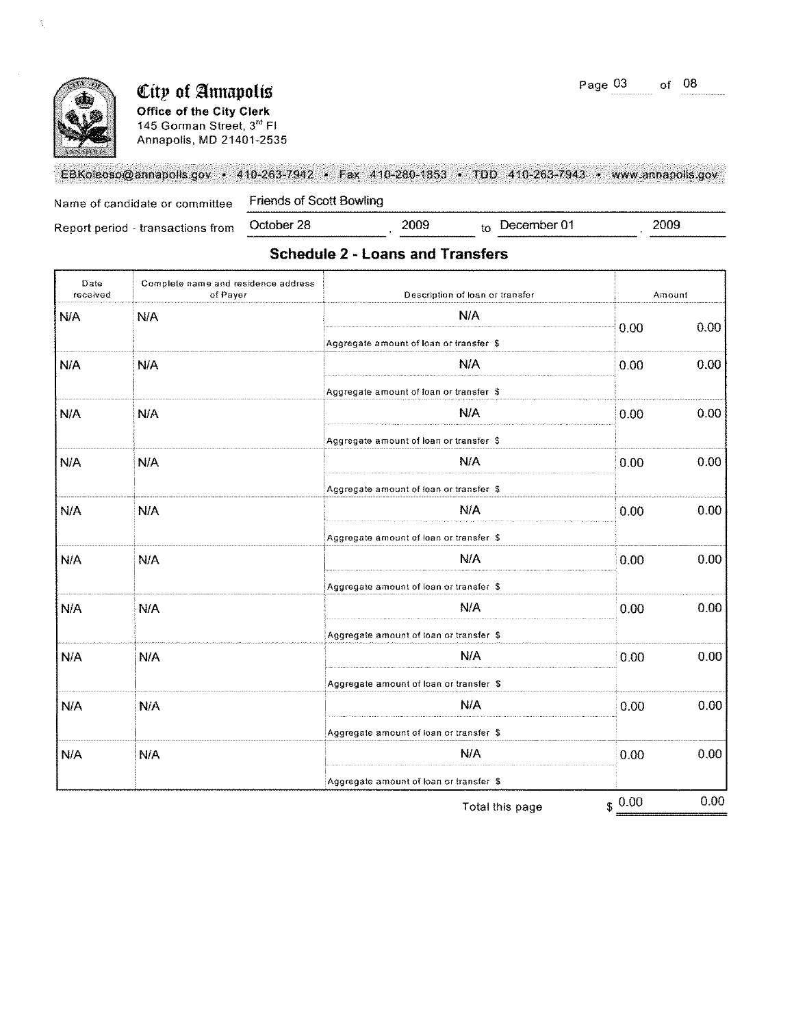2009



 $\tilde{\beta}_i$ 

## **City of Annapolis**

Office of the City Clerk 145 **Gorman Street,** 3rd **FI**  Annapolis, MD 21401·2535

EBKoleoso@annapolis.gov • 410-263-7942 • Fax 410-280-1853 • TDD 410-263-7943 • www.annapolis.gov

Name of candidate or committee Friends of Scott Bowling<br>
Report period - transactions from October 28 2009 to December 01

Report period - transactions from

## **Schedule 2 - Loans and Transfers**

| Date<br>received | Complete name and residence address<br>of Payer | Description of loan or transfer         | Amount |      |
|------------------|-------------------------------------------------|-----------------------------------------|--------|------|
| N/A              | N/A                                             | N/A                                     |        | 0.00 |
|                  |                                                 | Aggregate amount of loan or transfer \$ | 0.00   |      |
| N/A              | N/A                                             | <b>N/A</b>                              | 0.00   | 0.00 |
|                  |                                                 | Aggregate amount of loan or transfer \$ |        |      |
| N/A              | N/A                                             | N/A                                     | 0.00   | 0.00 |
|                  |                                                 | Aggregate amount of loan or transfer \$ |        |      |
| N/A              | N/A                                             | N/A                                     | 0.00   | 0.00 |
|                  |                                                 | Aggregate amount of loan or transfer \$ |        |      |
| N/A              | N/A                                             | <b>N/A</b>                              | 0.00   | 0.00 |
|                  |                                                 | Aggregate amount of loan or transfer \$ |        |      |
| N/A              | N/A                                             | N/A                                     | 0.00   | 0.00 |
|                  |                                                 | Aggregate amount of loan or transfer \$ |        |      |
| N/A              | N/A                                             | N/A                                     | 0.00   | 0.00 |
|                  |                                                 | Aggregate amount of loan or transfer \$ |        |      |
| N/A              | N/A                                             | N/A                                     | 0.00   | 0.00 |
|                  |                                                 | Aggregate amount of loan or transfer \$ |        |      |
| N/A              | N/A                                             | <b>N/A</b>                              | 0.00   | 0.00 |
|                  |                                                 | Aggregate amount of loan or transfer \$ |        |      |
| N/A              | N/A                                             | <b>N/A</b>                              | 0.00   | 0.00 |
|                  |                                                 | Aggregate amount of loan or transfer \$ |        |      |
|                  |                                                 |                                         | 0.00   | 0.00 |

Total this page

 $$0.00$  0.00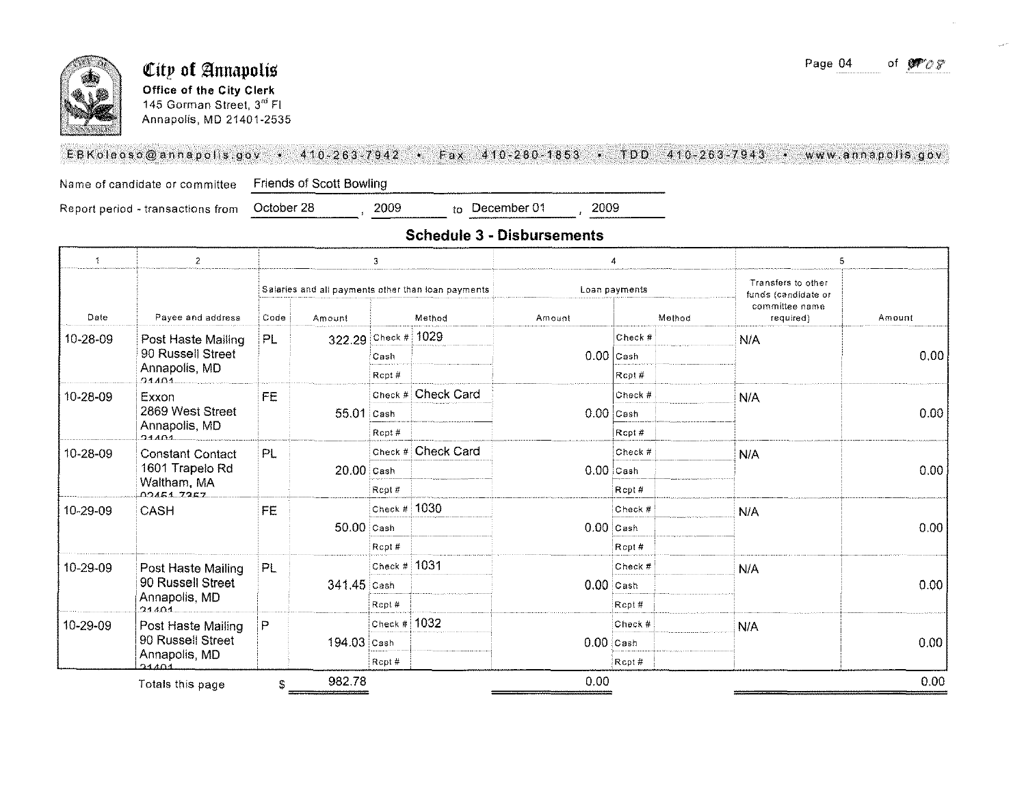

#### City of Annapolis Office of the City Clerk 145 Gorman Street, 3rd Fl Annapolis, MD 21401-2535

#### EBKoleoso@annapolis.gov • 410-263-7942 • Fax 410-280-1853 • TDD 410-263-7943 • www.annapolis.gov

Name of candidate or committee

Friends of Scott Bowling

Report period - transactions from

2009 October 28

2009 to December 01

#### **Schedule 3 - Disbursements**

| $\mathcal{I}$ | $\mathbf{2}$             |           | 3            |                |                                                    |             | 4             | 5                                         |        |  |
|---------------|--------------------------|-----------|--------------|----------------|----------------------------------------------------|-------------|---------------|-------------------------------------------|--------|--|
|               |                          |           |              |                | Salaries and all payments other than loan payments |             | Loan payments | Transfers to other<br>funds (candidate or |        |  |
| Date          | Payee and address        | Code      | Amount       |                | Method                                             | Amount      | Method        | committee name<br>required)               | Amount |  |
| 10-28-09      | Post Haste Mailing       | PL        | 322.29       | Check # $1029$ |                                                    |             | Check #       | N/A                                       |        |  |
|               | 90 Russell Street        |           |              | Cash           |                                                    |             | $0.00$ Cash   |                                           | 0.00   |  |
|               | Annapolis, MD<br>04404   |           |              | Rcpt#          |                                                    |             | Rcot#         |                                           |        |  |
| 10-28-09      | Exxon                    | <b>FE</b> |              |                | Check # Check Card                                 |             | Check #       | N/A                                       |        |  |
|               | 2869 West Street         |           | $55.01$ Cash |                |                                                    |             | $0.00$ Cash   |                                           | 0.00   |  |
|               | Annapolis, MD<br>21401   |           |              | Ropt#          |                                                    |             | Rcpt#         |                                           |        |  |
| 10-28-09      | <b>Constant Contact</b>  | PL        |              |                | Check # Check Card                                 |             | Check #       | N/A                                       |        |  |
|               | 1601 Trapelo Rd          |           | $20.00$ Cash |                |                                                    | $0.00$ Cash |               |                                           | 0.00   |  |
|               | Waltham, MA<br>024517257 |           |              | Rcpt#          |                                                    |             | Rcpt#         |                                           |        |  |
| 10-29-09      | CASH                     | <b>FE</b> |              | Check # 1030   |                                                    |             | Check #       | <b>N/A</b>                                |        |  |
|               |                          |           | $50.00$ Cash |                |                                                    | $0.00$ Cash |               |                                           | 0.00   |  |
|               |                          |           |              | Rcpt#          |                                                    |             | Rcpt#         |                                           |        |  |
| 10-29-09      | Post Haste Mailing       | PL        |              | Check $#$      | 1031                                               |             | Check #       | N/A                                       |        |  |
|               | 90 Russell Street        |           | 341.45 Cash  |                |                                                    | $0.00$ Cash |               |                                           | 0.00   |  |
|               | Annapolis, MD<br>21101   |           |              | Rcpt#          |                                                    |             | Rcpt#         |                                           |        |  |
| 10-29-09      | Post Haste Mailing       | P         |              | Check $#$      | 1032                                               |             | Check #       | N/A                                       |        |  |
|               | 90 Russell Street        |           | 194.03 Cash  |                |                                                    | $0.00$ Cash |               |                                           | 0.00   |  |
|               | Annapolis, MD<br>24404   |           |              | Rcpt #         |                                                    |             | Rcpt#         |                                           |        |  |
|               | Totals this page         | \$        | 982.78       |                |                                                    | 0.00        |               |                                           | 0.00   |  |

Page 04 of  $\mathcal{P} \circ \mathcal{S}$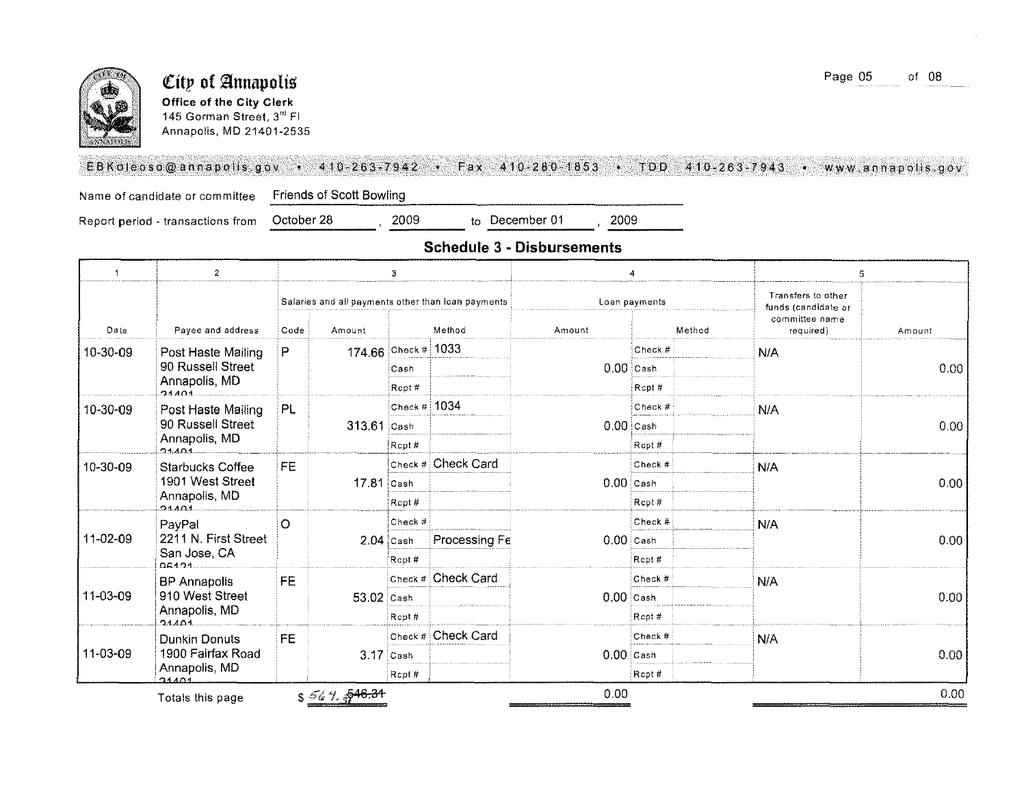

#### **City of Annapolis** Office of the City Clerk 145 Gorman Street, 3rd FI Annapolis, MD 21401-2535

#### EBKoleoso@annapolis.gov • 410-263-7942 • Fax 410-280-1853 • TDD 410-263-7943 • www.annapolis.gov

Name of candidate or committee Friends of Scott Bowling<br>Report period - transactions from October 28 (2009 to December 01 (2009)

Report period - transactions from

**Schedule 3 • Disbursements** 

| $\overline{\phantom{a}}$ | $\overline{2}$          | 3<br>4  |                    |                | 5                                                  |             |               |                                           |        |  |
|--------------------------|-------------------------|---------|--------------------|----------------|----------------------------------------------------|-------------|---------------|-------------------------------------------|--------|--|
|                          |                         |         |                    |                | Salaries and all payments other than loan payments |             | Loan payments | Transfers to other<br>funds (candidate or |        |  |
| Date                     | Payee and address       | Code    | Amount             |                | Method                                             | Amount      | Method        | committee name<br>required)               | Amount |  |
| 10-30-09                 | Post Haste Mailing      | P       |                    | 174.66 Check # | 1033                                               |             | Check #       | N/A                                       |        |  |
|                          | 90 Russell Street       |         |                    | Cash           |                                                    | $0.00$ Cash |               |                                           | 0.00   |  |
|                          | Annapolis, MD<br>21401  |         |                    | Rcpt #         |                                                    |             | Rcpt#         |                                           |        |  |
| 10-30-09                 | Post Haste Mailing      | PL.     |                    | Check # $1034$ |                                                    |             | Check #       | N/A                                       |        |  |
|                          | 90 Russell Street       |         | $313.61$ Cash      |                |                                                    | $0.00$ Cash |               |                                           | 0.00   |  |
|                          | Annapolis, MD<br>2140   |         |                    | Rcpt#          |                                                    |             | Rcpt#         |                                           |        |  |
| 10-30-09                 | <b>Starbucks Coffee</b> | FE      |                    |                | Check # Check Card                                 |             | Check #       | N/A                                       | 0.00   |  |
|                          | 1901 West Street        |         | 17.81 Cash         |                |                                                    | $0.00$ Cash |               |                                           |        |  |
|                          | Annapolis, MD<br>21101  |         |                    | Rcpt#          |                                                    |             | Rcpt#         |                                           |        |  |
|                          | PayPal                  | $\circ$ |                    | Check #        |                                                    |             | Check $#$     | N/A                                       | 0.00   |  |
| 11-02-09                 | 2211 N. First Street    |         |                    | $2.04$ Cash    | Processing Fe                                      | $0.00$ Cash |               |                                           |        |  |
|                          | San Jose, CA<br>05121   |         |                    | Rcpt #         |                                                    |             | Rcpt#         |                                           |        |  |
|                          | <b>BP Annapolis</b>     | FE      |                    | Check #        | Check Card                                         |             | Check #       | N/A                                       |        |  |
| 11-03-09                 | 910 West Street         |         | 53.02 Cash         |                |                                                    | $0.00$ Cash |               |                                           | 0.00   |  |
|                          | Annapolis, MD<br>21101  |         |                    | Rcpt#          |                                                    |             | Rept#         |                                           |        |  |
|                          | <b>Dunkin Donuts</b>    | FE      |                    |                | Check # Check Card                                 |             | Check #       | N/A                                       |        |  |
| 11-03-09                 | 1900 Fairfax Road       |         | 3.17 Cash          |                |                                                    | $0.00$ Cash |               |                                           | 0.00   |  |
|                          | Annapolis, MD<br>04404  |         |                    | Rcpt#          |                                                    |             | Rcpt#         |                                           |        |  |
|                          | Totals this page        |         | $s$ 56 7, $$46.31$ |                |                                                    | 0.00        |               |                                           | 0.00   |  |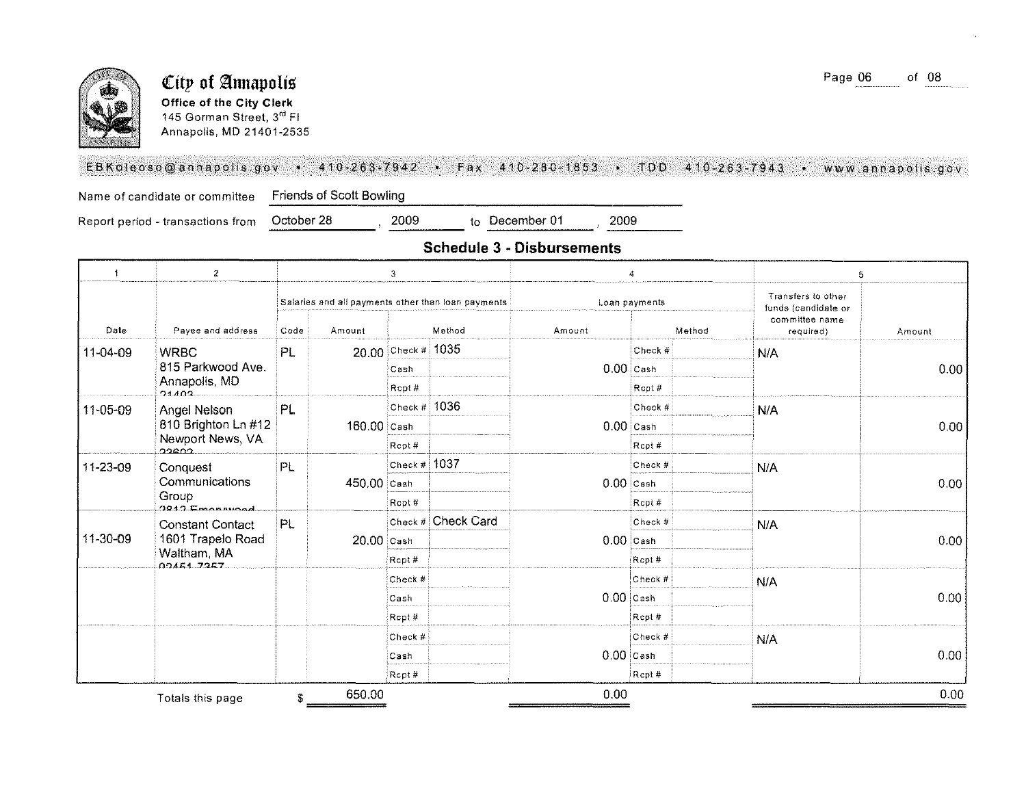

#### City of Annapolis Office of the City Clerk 145 Gorman Street, 3rd Fl Annapolis, MD 21401-2535

#### EBKoleoso@annapolis.gov • 410-263-7942 • Fax 410-280-1853 • TDD 410-263-7943 • www.annapolis.gov

Friends of Scott Bowling Name of candidate or committee

October 28

Report period - transactions from

2009 to December 01

2009

| $\ddot{\phantom{1}}$ | $\overline{2}$            | 3                                                  |             |               | 4                  |             | 5                                         |                             |        |  |             |  |  |      |
|----------------------|---------------------------|----------------------------------------------------|-------------|---------------|--------------------|-------------|-------------------------------------------|-----------------------------|--------|--|-------------|--|--|------|
|                      |                           | Salaries and all payments other than loan payments |             |               | Loan payments      |             | Transfers to other<br>funds (candidate or |                             |        |  |             |  |  |      |
| Date                 | Payee and address         | Code                                               | Amount      |               | Method             | Amount      | Method                                    | committee name<br>required) | Amount |  |             |  |  |      |
| 11-04-09             | <b>WRBC</b>               | PL                                                 |             | 20.00 Check # | 1035               |             | Check #                                   | N/A                         |        |  |             |  |  |      |
|                      | 815 Parkwood Ave.         |                                                    |             | Cash          |                    | $0.00$ Cash |                                           |                             | 0.00   |  |             |  |  |      |
|                      | Annapolis, MD<br>21102    |                                                    |             | Rcpt#         |                    |             | Rcpt#                                     |                             |        |  |             |  |  |      |
| 11-05-09             | Angel Nelson              | PL.                                                |             | Check $#$     | 1036               |             | Check #                                   | N/A                         |        |  |             |  |  |      |
|                      | 810 Brighton Ln #12       |                                                    | 160.00 Cash |               |                    | $0.00$ Cash |                                           |                             | 0.00   |  |             |  |  |      |
|                      | Newport News, VA<br>ാമാറ  |                                                    |             | Rept#         |                    |             | Rcpt#                                     |                             |        |  |             |  |  |      |
| 11-23-09             | Conquest                  | PL                                                 |             | Check $#$     | 1037               |             | Check #                                   | N/A                         |        |  |             |  |  |      |
|                      | Communications            |                                                    |             |               |                    |             |                                           | 450.00 Cash                 |        |  | $0.00$ Cash |  |  | 0.00 |
|                      | Group<br>$2942$ Emericade |                                                    |             | Rcpt#         |                    |             | Rcpt#                                     |                             |        |  |             |  |  |      |
|                      | <b>Constant Contact</b>   | PL                                                 |             |               | Check # Check Card |             | Check #                                   | N/A                         |        |  |             |  |  |      |
| 11-30-09             | 1601 Trapelo Road         |                                                    | 20.00 Cash  |               |                    | $0.00$ Cash |                                           |                             | 0.00   |  |             |  |  |      |
|                      | Waltham, MA<br>00451 7257 |                                                    |             | Rcpt #        |                    |             | Rcpt#                                     |                             |        |  |             |  |  |      |
|                      |                           |                                                    |             | Check #       |                    |             | Check #                                   | N/A                         |        |  |             |  |  |      |
|                      |                           |                                                    |             | Cash          |                    | $0.00$ Cash |                                           |                             | 0.00   |  |             |  |  |      |
|                      |                           |                                                    |             | Rept #        |                    |             | Rept#                                     |                             |        |  |             |  |  |      |
|                      |                           |                                                    |             | Check #       |                    |             | Check #                                   | N/A                         |        |  |             |  |  |      |
|                      |                           |                                                    |             | Cash          |                    | $0.00$ Cash |                                           |                             | 0.00   |  |             |  |  |      |
|                      |                           |                                                    |             | Rcpt#         |                    |             | Rcpt#                                     |                             |        |  |             |  |  |      |
|                      | Totals this page          | \$                                                 | 650.00      |               |                    | 0.00        |                                           |                             | 0.00   |  |             |  |  |      |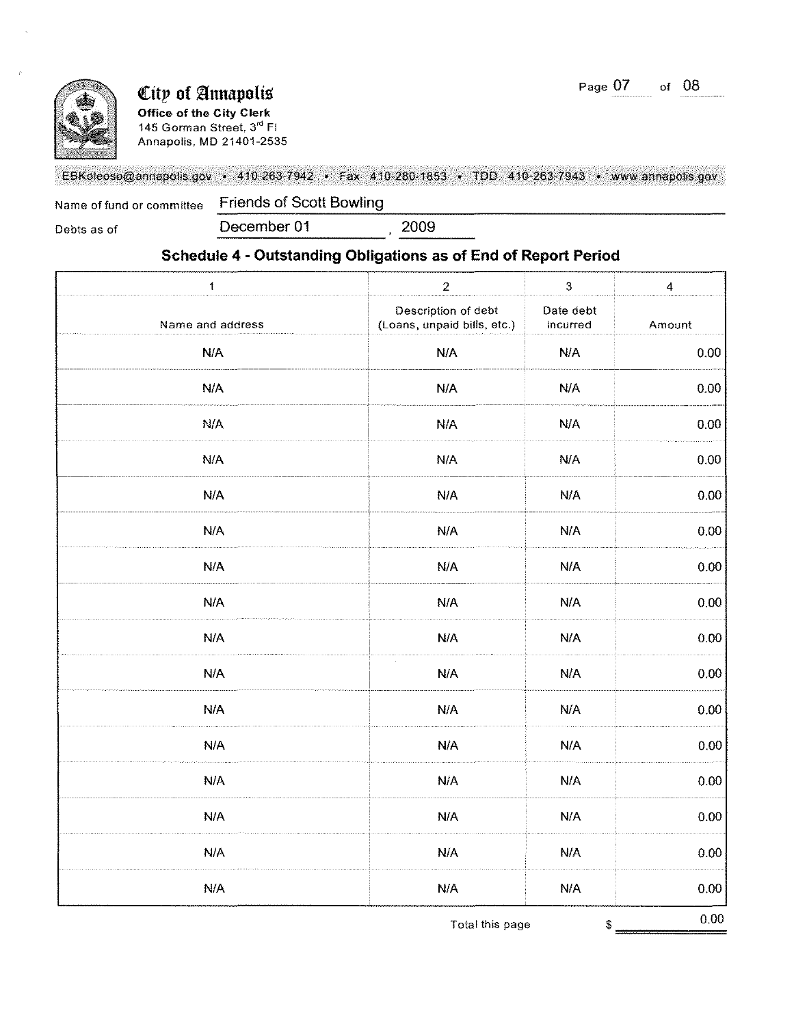

## **City of Annapolis**

**Office of the City Clerk**  145 Gorman Street, 3<sup>rd</sup> FI Annapolis, MD 21401-2535

#### EBKoleoso@annapolis,gov • 410-263-7942 • Fax 410·280·1853 • TOO 410·26.3-7943 •. www,annapolls,gov

Name of fund or committee Friends of Scott Bowling

Debts as of **December 01** 2009

#### **Schedule 4 - Outstanding Obligations as of End of Report Period**

| $\mathbf{1}$     | $\overline{2}$                                     | $\mathbf{3}$                                             | $\overline{\mathbf{4}}$ |
|------------------|----------------------------------------------------|----------------------------------------------------------|-------------------------|
| Name and address | Description of debt<br>(Loans, unpaid bills, etc.) | Date debt<br>incurred                                    | Amount                  |
| N/A              | N/A                                                | N/A                                                      | 0.00                    |
| N/A              | N/A                                                | N/A                                                      | 0.00                    |
| N/A              | N/A                                                | <b>N/A</b>                                               | 0.00                    |
| N/A              | N/A                                                | N/A                                                      | 0.00                    |
| N/A              | N/A                                                | N/A                                                      | 0.00                    |
| N/A              | N/A                                                | N/A                                                      | 0.00                    |
| N/A              | N/A                                                | N/A                                                      | $0.00\,$                |
| N/A              | N/A                                                | N/A                                                      | 0.00                    |
| N/A              | N/A                                                | N/A                                                      | 0.00                    |
| N/A              | $\sim$<br>N/A                                      | N/A                                                      | $0.00\,$                |
| N/A              | N/A                                                | N/A                                                      | $0.00\,$                |
| N/A              | N/A                                                | N/A                                                      | 0.00                    |
| N/A              | <b>N/A</b>                                         | N/A                                                      | 0.00                    |
| N/A              | N/A                                                | N/A                                                      | 0.00                    |
| N/A              | N/A                                                | N/A                                                      | 0.00                    |
| N/A              | N/A                                                | $\ensuremath{\mathsf{N}}\xspace/\ensuremath{\mathsf{A}}$ | 0.00                    |
|                  | Total this page                                    | $\frac{3}{2}$                                            | $0.00\,$                |